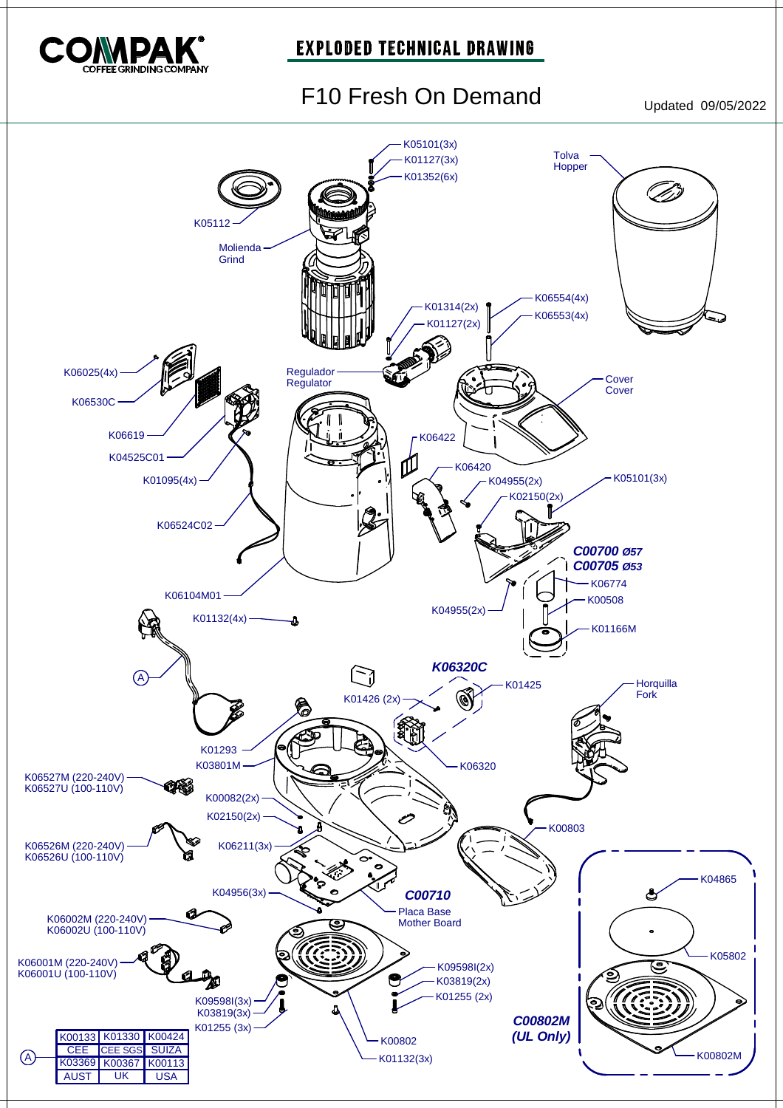

#### **EXPLODED TECHNICAL DRAWING**

# F10 Fresh On Demand Updated 09/05/2022

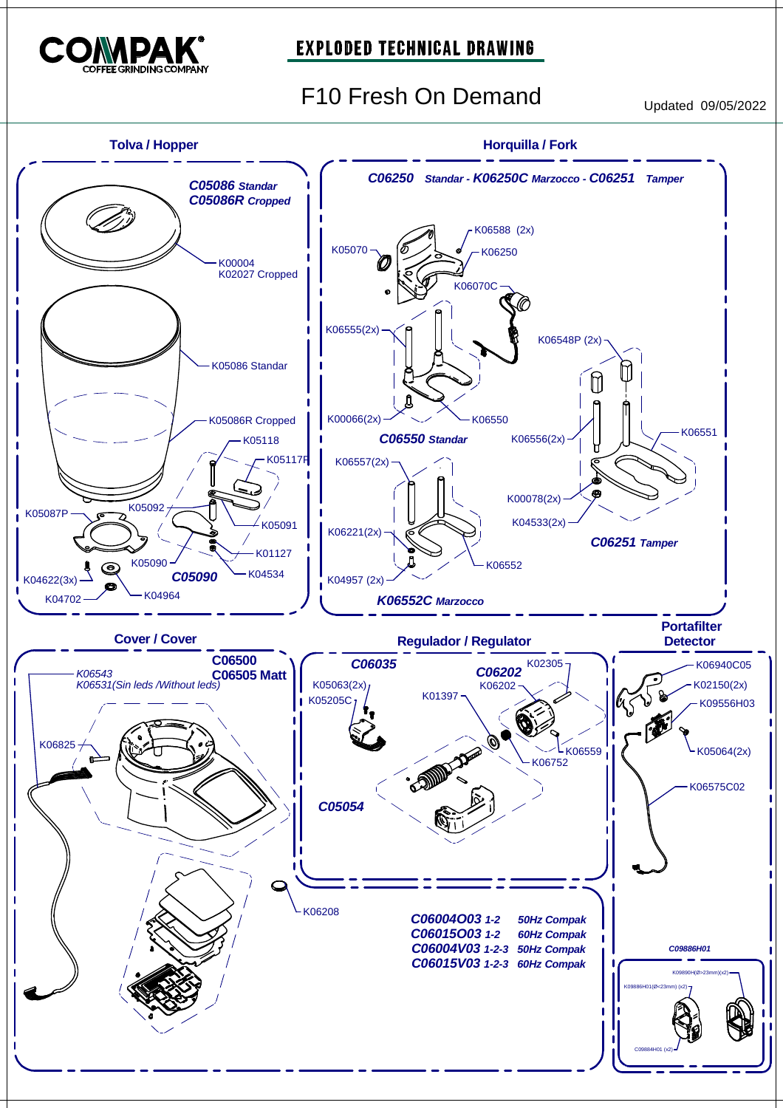

#### **EXPLODED TECHNICAL DRAWING**

F10 Fresh On Demand<br>Updated 09/05/2022